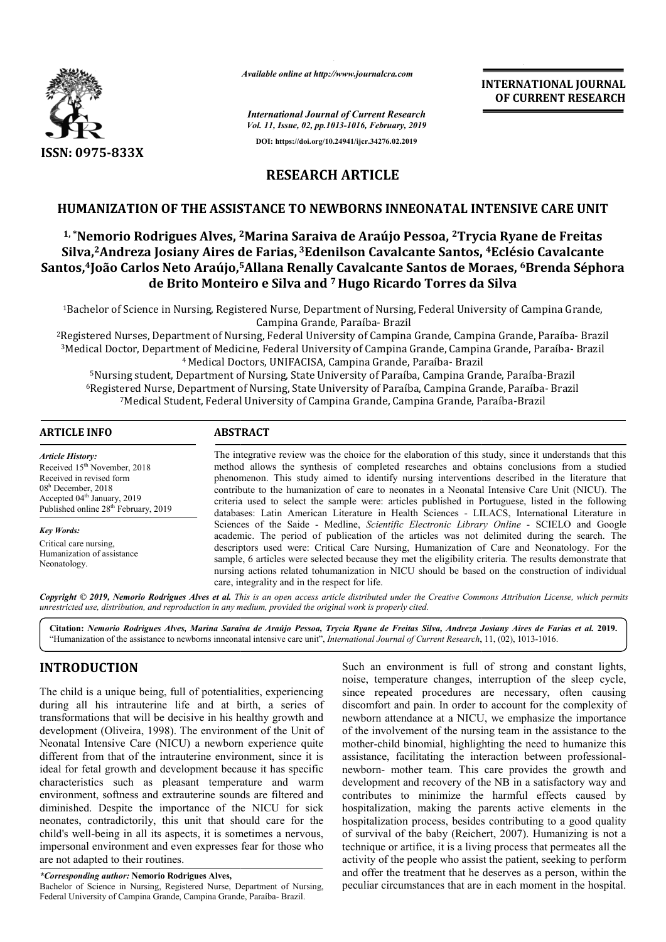

*Available online at http://www.journalcra.com*

*International Journal of Current Research Vol. 11, Issue, 02, pp.1013-1016, February, 2019* **OF CURRENT RESEARCH**

# **RESEARCH ARTICLE**

**DOI: https://doi.org/10.24941/ijcr.34276.02.2019**

## **HUMANIZATION OF THE ASSISTANCE TO NEWBORNS INNEONATAL INTENSIVE CARE UNIT**

# <sup>1,</sup>\*Nemorio Rodrigues Alves, <sup>2</sup>Marina Saraiva de Araújo Pessoa, <sup>2</sup>Trycia Ryane de Freitas **HUMANIZATION OF THE ASSISTANCE TO NEWBORNS INNEONATAL INTENSIVE CARE UNIT<br><sup>1,</sup> \*Nemorio Rodrigues Alves, <sup>2</sup>Marina Saraiva de Araújo Pessoa, <sup>2</sup>Trycia Ryane de Freitas<br>Silva,<sup>2</sup>Andreza Josiany Aires de Farias, <sup>3</sup>Edenilso** Santos,<sup>4</sup>João Carlos Neto Araújo,<sup>5</sup>Allana Renally Cavalcante Santos de Moraes, 6Brenda Séphora **de Brito Monteiro e Silva and 7 Hugo Ricardo Torres da Silva Ricardo Torres**

1Bachelor of Science in Nursing, Registered Nurse, Department of Nursing, Federal University of Campina Grande, 1Bachelor of Science in Nursing, Registered Nurse, Department of Nursing, Federal University of Campina Grande,<br>Campina Grande, Paraíba- Brazil<br>Registered Nurses, Department of Nursing, Federal University of Campina Grande Campina Grande, Paraíba- Brazil

 $^3$ Medical Doctor, Department of Medicine, Federal University of Campina Grande, Campina Grande, Paraíba- Brazil 4 Medical Doctors, UNIFACISA, Campina Grande, Paraíba Paraíba- Brazil

 $\rm ^5Nursing$  student, Department of Nursing, State University of Paraíba, Campina Grande, Paraíba-Brazil  $^6$ Registered Nurse, Department of Nursing, State University of Paraíba, Campina Grande, Paraíba- Brazil 7Medical Student, Federal University of Campina Grande, Camp Campina Grande, Paraíba ina Paraíba-Brazil

### **ARTICLE INFO ABSTRACT**

*Article History:* Received 15<sup>th</sup> November, 2018 Received in revised form 08h December, 2018 Accepted 04<sup>th</sup> January, 2019 Published online 28<sup>th</sup> February, 2019

*Key Words:* Critical care nursing, Humanization of assistance Neonatology.

The integrative review was the choice for the elaboration of this study, since it understands that this method allows the synthesis of completed researches and obtains conclusions from a studied The integrative review was the choice for the elaboration of this study, since it understands that this method allows the synthesis of completed researches and obtains conclusions from a studied phenomenon. This study aime contribute to the humanization of care to neonates in a Neonatal Intensive Care Unit (NICU). The contribute to the humanization of care to neonates in a Neonatal Intensive Care Unit (NICU). The criteria used to select the sample were: articles published in Portuguese, listed in the following databases: Latin American Literature in Health Sciences - LILACS, International Literature in Sciences of the Saide - Medline, *Scientific Electronic Library Online* - SCIELO and Google academic. The period of publication of the articles was not delimited during the search. The descriptors used were: Critical Care Nursing, Humanization of Care and Neonatology. For the sample, 6 articles were selected because they met the eligibility criteria. The results demonstrate that nursing actions related tohumanization in NICU should be based on the construction of individual care, integrality and in the respect for life. academic. The period of publication of the articles was not delimited during the search. The descriptors used were: Critical Care Nursing, Humanization of Care and Neonatology. For the sample, 6 articles were selected beca

Copyright © 2019, Nemorio Rodrigues Alves et al. This is an open access article distributed under the Creative Commons Attribution License, which permits *unrestricted use, distribution, and reproduction in any medium, provided the original work is properly cited.*

**Citation:** *Nemorio Rodrigues Alves, Marina Saraiva de Araújo Pessoa, Trycia Ryane de Freitas Silva, Andreza Josiany Aires de Farias et al.* **2019.** "Humanization of the assistance to newborns inneonatal intensive care unit", *International Journal of Current Research*, 11, (02), 1013-1016.

# **INTRODUCTION**

The child is a unique being, full of potentialities, experiencing during all his intrauterine life and at birth, a series of transformations that will be decisive in his healthy growth and development (Oliveira, 1998). The environment of the Unit of Neonatal Intensive Care (NICU) a newborn experience quite different from that of the intrauterine environment, since it is ideal for fetal growth and development because it has specific characteristics such as pleasant temperature and warm environment, softness and extrauterine sounds are filtered and diminished. Despite the importance of the NICU for sick neonates, contradictorily, this unit that should care for the child's well-being in all its aspects, it is sometimes a n impersonal environment and even expresses fear for those who are not adapted to their routines. t (Oliveira, 1998). The environment of the Unit of tensive Care (NICU) a newborn experience quite m that of the intrauterine environment, since it is all growth and development because it has specific cs such as pleasant t

*\*Corresponding author:* **Nemorio Rodrigues Alves,**

Bachelor of Science in Nursing, Registered Nurse, Department of Nursing, Federal University of Campina Grande, Campina Grande, Paraíba- Brazil.

Such an environment is full of strong and constant lights, noise, temperature changes, interruption of the sleep cycle, since repeated procedures are necessary, often causing discomfort and pain. In order to account for the complexity of newborn attendance at a NICU, we emphasize the importance of the involvement of the nursing team in the assistance to the mother-child binomial, highlighting the need to humanize this assistance, facilitating the interaction between professional newborn- mother team. This care provides the growth and newborn- mother team. This care provides the growth and development and recovery of the NB in a satisfactory way and contributes to minimize the harmful effects caused by contributes to minimize the harmful effects caused by hospitalization, making the parents active elements in the hospitalization process, besides contributing to a good quality hospitalization process, besides contributing to a good quality<br>of survival of the baby (Reichert, 2007). Humanizing is not a technique or artifice, it is a living process that permeates all the activity of the people who assist the patient, seeking to perform activity of the people who assist the patient, seeking to perform and offer the treatment that he deserves as a person, within the peculiar circumstances that are in each moment in the hospital. Such an environment is full of strong and constant lights, noise, temperature changes, interruption of the sleep cycle, since repeated procedures are necessary, often causing discomfort and pain. In order to account for th **INTERNATIONAL JOURNAL**<br> **INTERNATIONAL JOURNAL<br>
<b>INTERNATION CONSTRANCE**<br> **INTERNATION CONSTRANCE**<br> **ICLE**<br> **ICLE**<br> **ICLE**<br> **ICLE**<br> **ICLE**<br> **ICLE**<br> **ICLE**<br> **ICLE**<br> **ICLE**<br> **ICLE**<br> **ICLE**<br> **ICLE**<br> **ICLE**<br> **ICLE**<br> **ICLE**<br>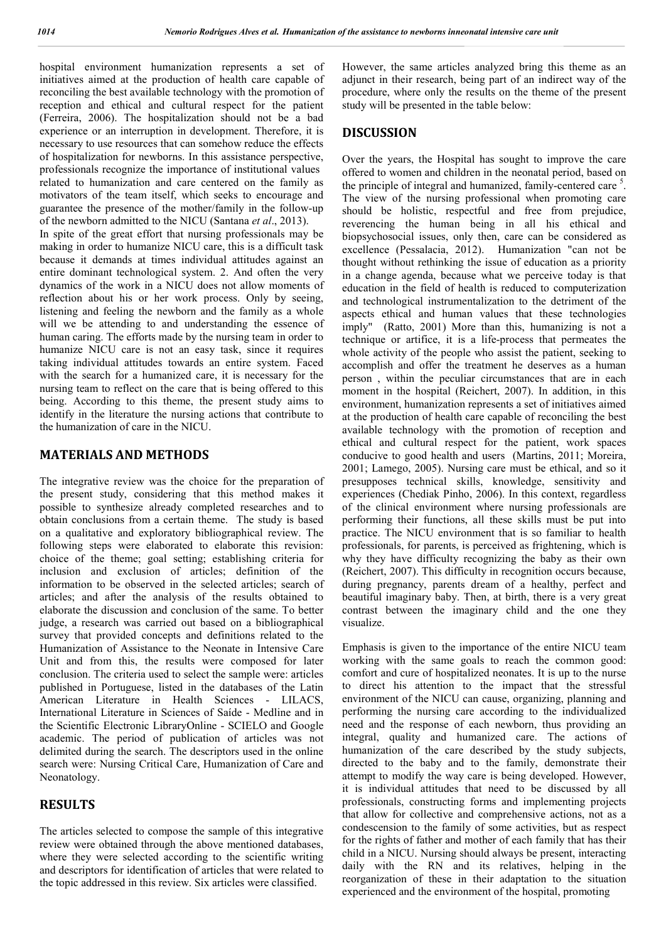hospital environment humanization represents a set of initiatives aimed at the production of health care capable of reconciling the best available technology with the promotion of reception and ethical and cultural respect for the patient (Ferreira, 2006). The hospitalization should not be a bad experience or an interruption in development. Therefore, it is necessary to use resources that can somehow reduce the effects of hospitalization for newborns. In this assistance perspective, professionals recognize the importance of institutional values related to humanization and care centered on the family as motivators of the team itself, which seeks to encourage and guarantee the presence of the mother/family in the follow-up of the newborn admitted to the NICU (Santana *et al*., 2013). In spite of the great effort that nursing professionals may be making in order to humanize NICU care, this is a difficult task because it demands at times individual attitudes against an entire dominant technological system. 2. And often the very dynamics of the work in a NICU does not allow moments of reflection about his or her work process. Only by seeing, listening and feeling the newborn and the family as a whole will we be attending to and understanding the essence of human caring. The efforts made by the nursing team in order to humanize NICU care is not an easy task, since it requires taking individual attitudes towards an entire system. Faced with the search for a humanized care, it is necessary for the nursing team to reflect on the care that is being offered to this being. According to this theme, the present study aims to identify in the literature the nursing actions that contribute to the humanization of care in the NICU.

#### **MATERIALS AND METHODS**

The integrative review was the choice for the preparation of the present study, considering that this method makes it possible to synthesize already completed researches and to obtain conclusions from a certain theme. The study is based on a qualitative and exploratory bibliographical review. The following steps were elaborated to elaborate this revision: choice of the theme; goal setting; establishing criteria for inclusion and exclusion of articles; definition of the information to be observed in the selected articles; search of articles; and after the analysis of the results obtained to elaborate the discussion and conclusion of the same. To better judge, a research was carried out based on a bibliographical survey that provided concepts and definitions related to the Humanization of Assistance to the Neonate in Intensive Care Unit and from this, the results were composed for later conclusion. The criteria used to select the sample were: articles published in Portuguese, listed in the databases of the Latin American Literature in Health Sciences - LILACS, International Literature in Sciences of Saíde - Medline and in the Scientific Electronic LibraryOnline - SCIELO and Google academic. The period of publication of articles was not delimited during the search. The descriptors used in the online search were: Nursing Critical Care, Humanization of Care and Neonatology.

## **RESULTS**

The articles selected to compose the sample of this integrative review were obtained through the above mentioned databases, where they were selected according to the scientific writing and descriptors for identification of articles that were related to the topic addressed in this review. Six articles were classified.

However, the same articles analyzed bring this theme as an adjunct in their research, being part of an indirect way of the procedure, where only the results on the theme of the present study will be presented in the table below:

#### **DISCUSSION**

Over the years, the Hospital has sought to improve the care offered to women and children in the neonatal period, based on the principle of integral and humanized, family-centered care<sup>5</sup>. The view of the nursing professional when promoting care should be holistic, respectful and free from prejudice, reverencing the human being in all his ethical and biopsychosocial issues, only then, care can be considered as excellence (Pessalacia, 2012). Humanization "can not be thought without rethinking the issue of education as a priority in a change agenda, because what we perceive today is that education in the field of health is reduced to computerization and technological instrumentalization to the detriment of the aspects ethical and human values that these technologies imply" (Ratto, 2001) More than this, humanizing is not a technique or artifice, it is a life-process that permeates the whole activity of the people who assist the patient, seeking to accomplish and offer the treatment he deserves as a human person , within the peculiar circumstances that are in each moment in the hospital (Reichert, 2007). In addition, in this environment, humanization represents a set of initiatives aimed at the production of health care capable of reconciling the best available technology with the promotion of reception and ethical and cultural respect for the patient, work spaces conducive to good health and users (Martins, 2011; Moreira, 2001; Lamego, 2005). Nursing care must be ethical, and so it presupposes technical skills, knowledge, sensitivity and experiences (Chediak Pinho, 2006). In this context, regardless of the clinical environment where nursing professionals are performing their functions, all these skills must be put into practice. The NICU environment that is so familiar to health professionals, for parents, is perceived as frightening, which is why they have difficulty recognizing the baby as their own (Reichert, 2007). This difficulty in recognition occurs because, during pregnancy, parents dream of a healthy, perfect and beautiful imaginary baby. Then, at birth, there is a very great contrast between the imaginary child and the one they visualize.

Emphasis is given to the importance of the entire NICU team working with the same goals to reach the common good: comfort and cure of hospitalized neonates. It is up to the nurse to direct his attention to the impact that the stressful environment of the NICU can cause, organizing, planning and performing the nursing care according to the individualized need and the response of each newborn, thus providing an integral, quality and humanized care. The actions of humanization of the care described by the study subjects, directed to the baby and to the family, demonstrate their attempt to modify the way care is being developed. However, it is individual attitudes that need to be discussed by all professionals, constructing forms and implementing projects that allow for collective and comprehensive actions, not as a condescension to the family of some activities, but as respect for the rights of father and mother of each family that has their child in a NICU. Nursing should always be present, interacting daily with the RN and its relatives, helping in the reorganization of these in their adaptation to the situation experienced and the environment of the hospital, promoting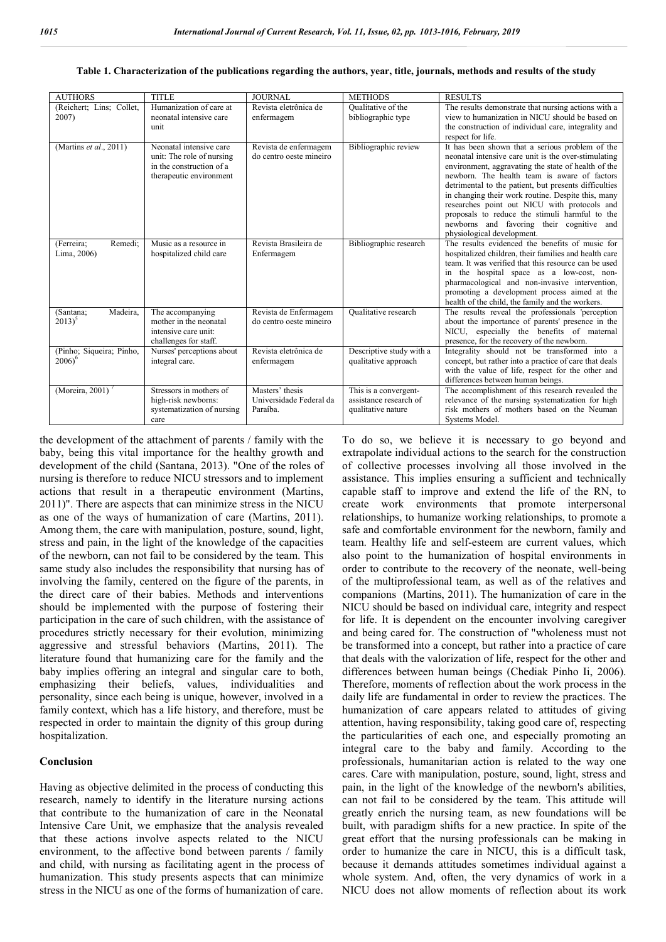| <b>AUTHORS</b>                        | <b>TITLE</b>                                                                                                | <b>JOURNAL</b>                                         | <b>METHODS</b>                                                        | <b>RESULTS</b>                                                                                                                                                                                                                                                                                                                                                                                                                                                                                             |
|---------------------------------------|-------------------------------------------------------------------------------------------------------------|--------------------------------------------------------|-----------------------------------------------------------------------|------------------------------------------------------------------------------------------------------------------------------------------------------------------------------------------------------------------------------------------------------------------------------------------------------------------------------------------------------------------------------------------------------------------------------------------------------------------------------------------------------------|
| (Reichert; Lins; Collet,<br>2007)     | Humanization of care at<br>neonatal intensive care<br>unit                                                  | Revista eletrônica de<br>enfermagem                    | Qualitative of the<br>bibliographic type                              | The results demonstrate that nursing actions with a<br>view to humanization in NICU should be based on<br>the construction of individual care, integrality and<br>respect for life.                                                                                                                                                                                                                                                                                                                        |
| (Martins et al., 2011)                | Neonatal intensive care<br>unit: The role of nursing<br>in the construction of a<br>therapeutic environment | Revista de enfermagem<br>do centro oeste mineiro       | Bibliographic review                                                  | It has been shown that a serious problem of the<br>neonatal intensive care unit is the over-stimulating<br>environment, aggravating the state of health of the<br>newborn. The health team is aware of factors<br>detrimental to the patient, but presents difficulties<br>in changing their work routine. Despite this, many<br>researches point out NICU with protocols and<br>proposals to reduce the stimuli harmful to the<br>newborns and favoring their cognitive and<br>physiological development. |
| (Ferreira;<br>Remedi;<br>Lima, 2006)  | Music as a resource in<br>hospitalized child care                                                           | Revista Brasileira de<br>Enfermagem                    | Bibliographic research                                                | The results evidenced the benefits of music for<br>hospitalized children, their families and health care<br>team. It was verified that this resource can be used<br>in the hospital space as a low-cost, non-<br>pharmacological and non-invasive intervention,<br>promoting a development process aimed at the<br>health of the child, the family and the workers.                                                                                                                                        |
| Madeira,<br>(Santana;<br>$2013)^5$    | The accompanying<br>mother in the neonatal<br>intensive care unit:<br>challenges for staff.                 | Revista de Enfermagem<br>do centro oeste mineiro       | Qualitative research                                                  | The results reveal the professionals 'perception<br>about the importance of parents' presence in the<br>NICU, especially the benefits of maternal<br>presence, for the recovery of the newborn.                                                                                                                                                                                                                                                                                                            |
| (Pinho; Siqueira; Pinho,<br>$2006)^6$ | Nurses' perceptions about<br>integral care.                                                                 | Revista eletrônica de<br>enfermagem                    | Descriptive study with a<br>qualitative approach                      | Integrality should not be transformed into a<br>concept, but rather into a practice of care that deals<br>with the value of life, respect for the other and<br>differences between human beings.                                                                                                                                                                                                                                                                                                           |
| (Moreira, 2001)                       | Stressors in mothers of<br>high-risk newborns:<br>systematization of nursing<br>care                        | Masters' thesis<br>Universidade Federal da<br>Paraíba. | This is a convergent-<br>assistance research of<br>qualitative nature | The accomplishment of this research revealed the<br>relevance of the nursing systematization for high<br>risk mothers of mothers based on the Neuman<br>Systems Model.                                                                                                                                                                                                                                                                                                                                     |

#### **Table 1. Characterization of the publications regarding the authors, year, title, journals, methods and results of the study**

the development of the attachment of parents / family with the baby, being this vital importance for the healthy growth and development of the child (Santana, 2013). "One of the roles of nursing is therefore to reduce NICU stressors and to implement actions that result in a therapeutic environment (Martins, 2011)". There are aspects that can minimize stress in the NICU as one of the ways of humanization of care (Martins, 2011). Among them, the care with manipulation, posture, sound, light, stress and pain, in the light of the knowledge of the capacities of the newborn, can not fail to be considered by the team. This same study also includes the responsibility that nursing has of involving the family, centered on the figure of the parents, in the direct care of their babies. Methods and interventions should be implemented with the purpose of fostering their participation in the care of such children, with the assistance of procedures strictly necessary for their evolution, minimizing aggressive and stressful behaviors (Martins, 2011). The literature found that humanizing care for the family and the baby implies offering an integral and singular care to both, emphasizing their beliefs, values, individualities and personality, since each being is unique, however, involved in a family context, which has a life history, and therefore, must be respected in order to maintain the dignity of this group during hospitalization.

#### **Conclusion**

Having as objective delimited in the process of conducting this research, namely to identify in the literature nursing actions that contribute to the humanization of care in the Neonatal Intensive Care Unit, we emphasize that the analysis revealed that these actions involve aspects related to the NICU environment, to the affective bond between parents / family and child, with nursing as facilitating agent in the process of humanization. This study presents aspects that can minimize stress in the NICU as one of the forms of humanization of care.

To do so, we believe it is necessary to go beyond and extrapolate individual actions to the search for the construction of collective processes involving all those involved in the assistance. This implies ensuring a sufficient and technically capable staff to improve and extend the life of the RN, to create work environments that promote interpersonal relationships, to humanize working relationships, to promote a safe and comfortable environment for the newborn, family and team. Healthy life and self-esteem are current values, which also point to the humanization of hospital environments in order to contribute to the recovery of the neonate, well-being of the multiprofessional team, as well as of the relatives and companions (Martins, 2011). The humanization of care in the NICU should be based on individual care, integrity and respect for life. It is dependent on the encounter involving caregiver and being cared for. The construction of "wholeness must not be transformed into a concept, but rather into a practice of care that deals with the valorization of life, respect for the other and differences between human beings (Chediak Pinho Ii, 2006). Therefore, moments of reflection about the work process in the daily life are fundamental in order to review the practices. The humanization of care appears related to attitudes of giving attention, having responsibility, taking good care of, respecting the particularities of each one, and especially promoting an integral care to the baby and family. According to the professionals, humanitarian action is related to the way one cares. Care with manipulation, posture, sound, light, stress and pain, in the light of the knowledge of the newborn's abilities, can not fail to be considered by the team. This attitude will greatly enrich the nursing team, as new foundations will be built, with paradigm shifts for a new practice. In spite of the great effort that the nursing professionals can be making in order to humanize the care in NICU, this is a difficult task, because it demands attitudes sometimes individual against a whole system. And, often, the very dynamics of work in a NICU does not allow moments of reflection about its work